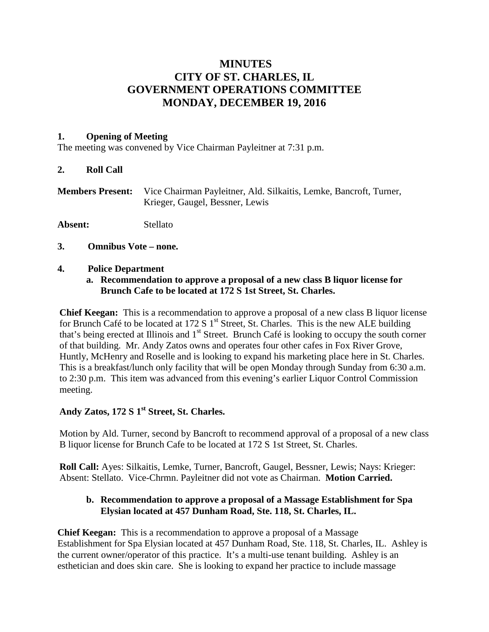# **MINUTES CITY OF ST. CHARLES, IL GOVERNMENT OPERATIONS COMMITTEE MONDAY, DECEMBER 19, 2016**

### **1. Opening of Meeting**

The meeting was convened by Vice Chairman Payleitner at 7:31 p.m.

### **2. Roll Call**

| <b>Members Present:</b> Vice Chairman Payleitner, Ald. Silkaitis, Lemke, Bancroft, Turner, |
|--------------------------------------------------------------------------------------------|
| Krieger, Gaugel, Bessner, Lewis                                                            |

**Absent:** Stellato

**3. Omnibus Vote – none.**

### **4. Police Department**

### **a. Recommendation to approve a proposal of a new class B liquor license for Brunch Cafe to be located at 172 S 1st Street, St. Charles.**

**Chief Keegan:** This is a recommendation to approve a proposal of a new class B liquor license for Brunch Café to be located at 172 S  $1<sup>st</sup>$  Street, St. Charles. This is the new ALE building that's being erected at Illinois and 1<sup>st</sup> Street. Brunch Café is looking to occupy the south corner of that building. Mr. Andy Zatos owns and operates four other cafes in Fox River Grove, Huntly, McHenry and Roselle and is looking to expand his marketing place here in St. Charles. This is a breakfast/lunch only facility that will be open Monday through Sunday from 6:30 a.m. to 2:30 p.m. This item was advanced from this evening's earlier Liquor Control Commission meeting.

# Andy Zatos, 172 S 1<sup>st</sup> Street, St. Charles.

Motion by Ald. Turner, second by Bancroft to recommend approval of a proposal of a new class B liquor license for Brunch Cafe to be located at 172 S 1st Street, St. Charles.

**Roll Call:** Ayes: Silkaitis, Lemke, Turner, Bancroft, Gaugel, Bessner, Lewis; Nays: Krieger: Absent: Stellato. Vice-Chrmn. Payleitner did not vote as Chairman. **Motion Carried.**

# **b. Recommendation to approve a proposal of a Massage Establishment for Spa Elysian located at 457 Dunham Road, Ste. 118, St. Charles, IL.**

**Chief Keegan:** This is a recommendation to approve a proposal of a Massage Establishment for Spa Elysian located at 457 Dunham Road, Ste. 118, St. Charles, IL. Ashley is the current owner/operator of this practice. It's a multi-use tenant building. Ashley is an esthetician and does skin care. She is looking to expand her practice to include massage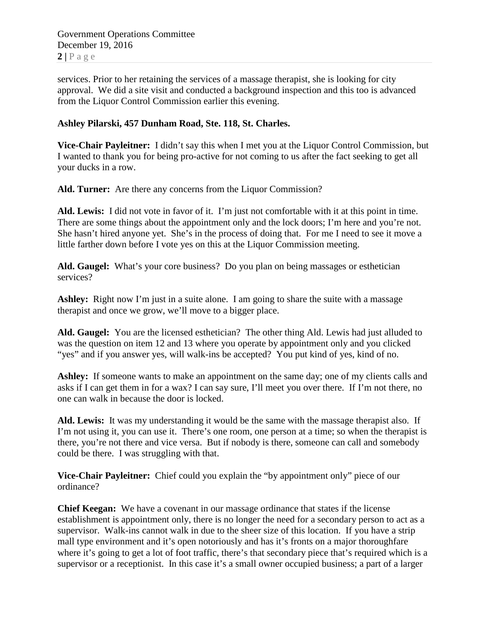Government Operations Committee December 19, 2016  $2 | P \text{ a ge}$ 

services. Prior to her retaining the services of a massage therapist, she is looking for city approval. We did a site visit and conducted a background inspection and this too is advanced from the Liquor Control Commission earlier this evening.

# **Ashley Pilarski, 457 Dunham Road, Ste. 118, St. Charles.**

**Vice-Chair Payleitner:** I didn't say this when I met you at the Liquor Control Commission, but I wanted to thank you for being pro-active for not coming to us after the fact seeking to get all your ducks in a row.

**Ald. Turner:** Are there any concerns from the Liquor Commission?

**Ald. Lewis:** I did not vote in favor of it. I'm just not comfortable with it at this point in time. There are some things about the appointment only and the lock doors; I'm here and you're not. She hasn't hired anyone yet. She's in the process of doing that. For me I need to see it move a little farther down before I vote yes on this at the Liquor Commission meeting.

**Ald. Gaugel:** What's your core business? Do you plan on being massages or esthetician services?

Ashley: Right now I'm just in a suite alone. I am going to share the suite with a massage therapist and once we grow, we'll move to a bigger place.

**Ald. Gaugel:** You are the licensed esthetician? The other thing Ald. Lewis had just alluded to was the question on item 12 and 13 where you operate by appointment only and you clicked "yes" and if you answer yes, will walk-ins be accepted? You put kind of yes, kind of no.

Ashley: If someone wants to make an appointment on the same day; one of my clients calls and asks if I can get them in for a wax? I can say sure, I'll meet you over there. If I'm not there, no one can walk in because the door is locked.

**Ald. Lewis:** It was my understanding it would be the same with the massage therapist also. If I'm not using it, you can use it. There's one room, one person at a time; so when the therapist is there, you're not there and vice versa. But if nobody is there, someone can call and somebody could be there. I was struggling with that.

**Vice-Chair Payleitner:** Chief could you explain the "by appointment only" piece of our ordinance?

**Chief Keegan:** We have a covenant in our massage ordinance that states if the license establishment is appointment only, there is no longer the need for a secondary person to act as a supervisor. Walk-ins cannot walk in due to the sheer size of this location. If you have a strip mall type environment and it's open notoriously and has it's fronts on a major thoroughfare where it's going to get a lot of foot traffic, there's that secondary piece that's required which is a supervisor or a receptionist. In this case it's a small owner occupied business; a part of a larger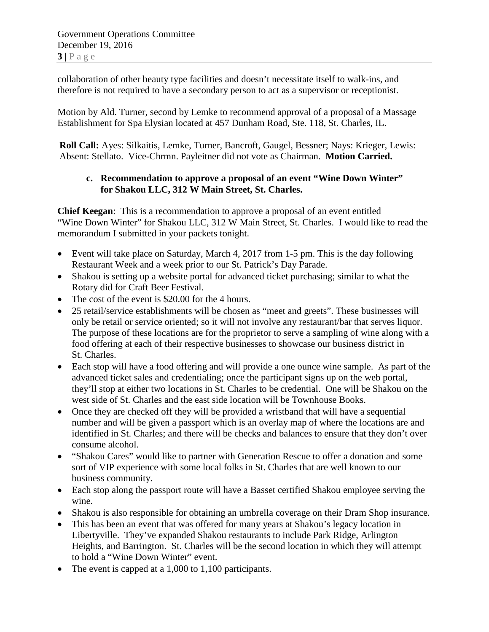Government Operations Committee December 19, 2016  $3 | P \text{ a ge}$ 

collaboration of other beauty type facilities and doesn't necessitate itself to walk-ins, and therefore is not required to have a secondary person to act as a supervisor or receptionist.

Motion by Ald. Turner, second by Lemke to recommend approval of a proposal of a Massage Establishment for Spa Elysian located at 457 Dunham Road, Ste. 118, St. Charles, IL.

**Roll Call:** Ayes: Silkaitis, Lemke, Turner, Bancroft, Gaugel, Bessner; Nays: Krieger, Lewis: Absent: Stellato. Vice-Chrmn. Payleitner did not vote as Chairman. **Motion Carried.**

# **c. Recommendation to approve a proposal of an event "Wine Down Winter" for Shakou LLC, 312 W Main Street, St. Charles.**

**Chief Keegan**: This is a recommendation to approve a proposal of an event entitled "Wine Down Winter" for Shakou LLC, 312 W Main Street, St. Charles. I would like to read the memorandum I submitted in your packets tonight.

- Event will take place on Saturday, March 4, 2017 from 1-5 pm. This is the day following Restaurant Week and a week prior to our St. Patrick's Day Parade.
- Shakou is setting up a website portal for advanced ticket purchasing; similar to what the Rotary did for Craft Beer Festival.
- The cost of the event is \$20.00 for the 4 hours.
- 25 retail/service establishments will be chosen as "meet and greets". These businesses will only be retail or service oriented; so it will not involve any restaurant/bar that serves liquor. The purpose of these locations are for the proprietor to serve a sampling of wine along with a food offering at each of their respective businesses to showcase our business district in St. Charles.
- Each stop will have a food offering and will provide a one ounce wine sample. As part of the advanced ticket sales and credentialing; once the participant signs up on the web portal, they'll stop at either two locations in St. Charles to be credential. One will be Shakou on the west side of St. Charles and the east side location will be Townhouse Books.
- Once they are checked off they will be provided a wristband that will have a sequential number and will be given a passport which is an overlay map of where the locations are and identified in St. Charles; and there will be checks and balances to ensure that they don't over consume alcohol.
- "Shakou Cares" would like to partner with Generation Rescue to offer a donation and some sort of VIP experience with some local folks in St. Charles that are well known to our business community.
- Each stop along the passport route will have a Basset certified Shakou employee serving the wine.
- Shakou is also responsible for obtaining an umbrella coverage on their Dram Shop insurance.
- This has been an event that was offered for many years at Shakou's legacy location in Libertyville. They've expanded Shakou restaurants to include Park Ridge, Arlington Heights, and Barrington. St. Charles will be the second location in which they will attempt to hold a "Wine Down Winter" event.
- The event is capped at a 1,000 to 1,100 participants.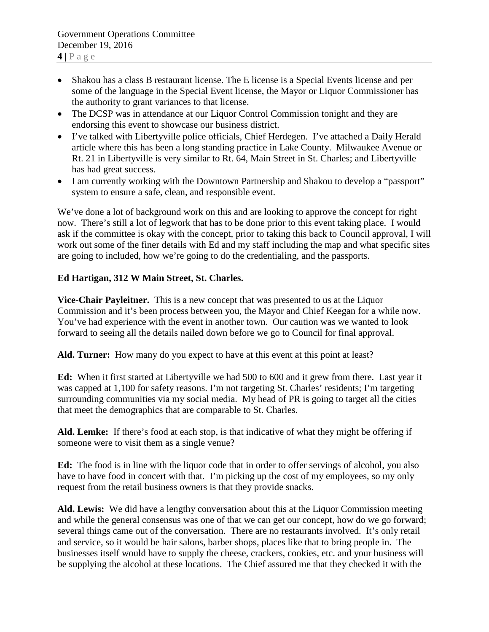- Shakou has a class B restaurant license. The E license is a Special Events license and per some of the language in the Special Event license, the Mayor or Liquor Commissioner has the authority to grant variances to that license.
- The DCSP was in attendance at our Liquor Control Commission tonight and they are endorsing this event to showcase our business district.
- I've talked with Libertyville police officials, Chief Herdegen. I've attached a Daily Herald article where this has been a long standing practice in Lake County. Milwaukee Avenue or Rt. 21 in Libertyville is very similar to Rt. 64, Main Street in St. Charles; and Libertyville has had great success.
- I am currently working with the Downtown Partnership and Shakou to develop a "passport" system to ensure a safe, clean, and responsible event.

We've done a lot of background work on this and are looking to approve the concept for right now. There's still a lot of legwork that has to be done prior to this event taking place. I would ask if the committee is okay with the concept, prior to taking this back to Council approval, I will work out some of the finer details with Ed and my staff including the map and what specific sites are going to included, how we're going to do the credentialing, and the passports.

# **Ed Hartigan, 312 W Main Street, St. Charles.**

**Vice-Chair Payleitner.** This is a new concept that was presented to us at the Liquor Commission and it's been process between you, the Mayor and Chief Keegan for a while now. You've had experience with the event in another town. Our caution was we wanted to look forward to seeing all the details nailed down before we go to Council for final approval.

**Ald. Turner:** How many do you expect to have at this event at this point at least?

**Ed:** When it first started at Libertyville we had 500 to 600 and it grew from there. Last year it was capped at 1,100 for safety reasons. I'm not targeting St. Charles' residents; I'm targeting surrounding communities via my social media. My head of PR is going to target all the cities that meet the demographics that are comparable to St. Charles.

**Ald. Lemke:** If there's food at each stop, is that indicative of what they might be offering if someone were to visit them as a single venue?

**Ed:** The food is in line with the liquor code that in order to offer servings of alcohol, you also have to have food in concert with that. I'm picking up the cost of my employees, so my only request from the retail business owners is that they provide snacks.

**Ald. Lewis:** We did have a lengthy conversation about this at the Liquor Commission meeting and while the general consensus was one of that we can get our concept, how do we go forward; several things came out of the conversation. There are no restaurants involved. It's only retail and service, so it would be hair salons, barber shops, places like that to bring people in. The businesses itself would have to supply the cheese, crackers, cookies, etc. and your business will be supplying the alcohol at these locations. The Chief assured me that they checked it with the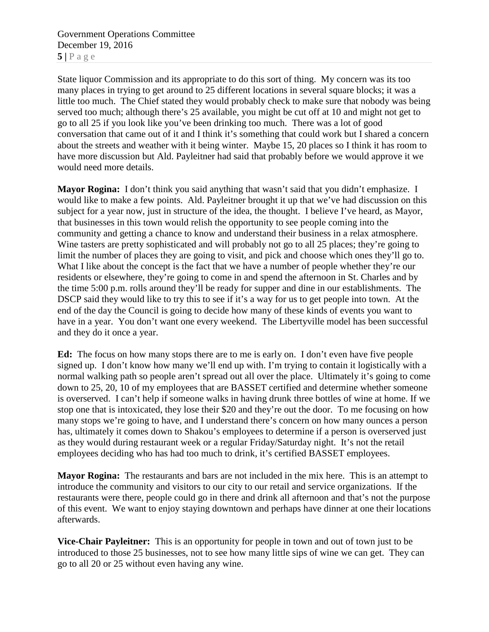Government Operations Committee December 19, 2016  $5|$   $P$  a g e

State liquor Commission and its appropriate to do this sort of thing. My concern was its too many places in trying to get around to 25 different locations in several square blocks; it was a little too much. The Chief stated they would probably check to make sure that nobody was being served too much; although there's 25 available, you might be cut off at 10 and might not get to go to all 25 if you look like you've been drinking too much. There was a lot of good conversation that came out of it and I think it's something that could work but I shared a concern about the streets and weather with it being winter. Maybe 15, 20 places so I think it has room to have more discussion but Ald. Payleitner had said that probably before we would approve it we would need more details.

**Mayor Rogina:** I don't think you said anything that wasn't said that you didn't emphasize. I would like to make a few points. Ald. Payleitner brought it up that we've had discussion on this subject for a year now, just in structure of the idea, the thought. I believe I've heard, as Mayor, that businesses in this town would relish the opportunity to see people coming into the community and getting a chance to know and understand their business in a relax atmosphere. Wine tasters are pretty sophisticated and will probably not go to all 25 places; they're going to limit the number of places they are going to visit, and pick and choose which ones they'll go to. What I like about the concept is the fact that we have a number of people whether they're our residents or elsewhere, they're going to come in and spend the afternoon in St. Charles and by the time 5:00 p.m. rolls around they'll be ready for supper and dine in our establishments. The DSCP said they would like to try this to see if it's a way for us to get people into town. At the end of the day the Council is going to decide how many of these kinds of events you want to have in a year. You don't want one every weekend. The Libertyville model has been successful and they do it once a year.

**Ed:** The focus on how many stops there are to me is early on. I don't even have five people signed up. I don't know how many we'll end up with. I'm trying to contain it logistically with a normal walking path so people aren't spread out all over the place. Ultimately it's going to come down to 25, 20, 10 of my employees that are BASSET certified and determine whether someone is overserved. I can't help if someone walks in having drunk three bottles of wine at home. If we stop one that is intoxicated, they lose their \$20 and they're out the door. To me focusing on how many stops we're going to have, and I understand there's concern on how many ounces a person has, ultimately it comes down to Shakou's employees to determine if a person is overserved just as they would during restaurant week or a regular Friday/Saturday night. It's not the retail employees deciding who has had too much to drink, it's certified BASSET employees.

**Mayor Rogina:** The restaurants and bars are not included in the mix here. This is an attempt to introduce the community and visitors to our city to our retail and service organizations. If the restaurants were there, people could go in there and drink all afternoon and that's not the purpose of this event. We want to enjoy staying downtown and perhaps have dinner at one their locations afterwards.

**Vice-Chair Payleitner:** This is an opportunity for people in town and out of town just to be introduced to those 25 businesses, not to see how many little sips of wine we can get. They can go to all 20 or 25 without even having any wine.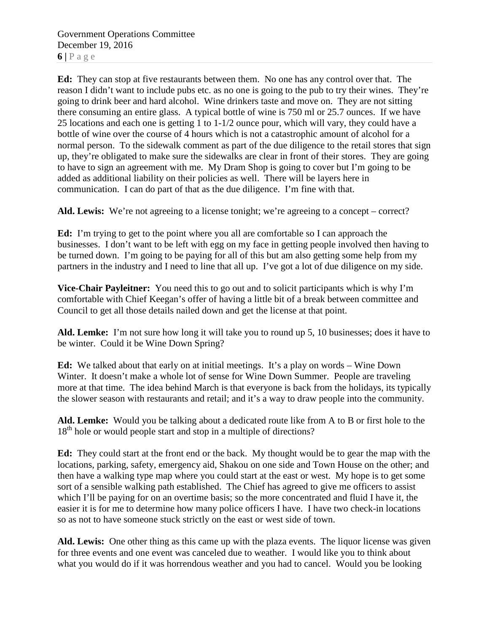Government Operations Committee December 19, 2016  $6|$   $P$   $a$   $g$   $e$ 

**Ed:** They can stop at five restaurants between them. No one has any control over that. The reason I didn't want to include pubs etc. as no one is going to the pub to try their wines. They're going to drink beer and hard alcohol. Wine drinkers taste and move on. They are not sitting there consuming an entire glass. A typical bottle of wine is 750 ml or 25.7 ounces. If we have 25 locations and each one is getting 1 to 1-1/2 ounce pour, which will vary, they could have a bottle of wine over the course of 4 hours which is not a catastrophic amount of alcohol for a normal person. To the sidewalk comment as part of the due diligence to the retail stores that sign up, they're obligated to make sure the sidewalks are clear in front of their stores. They are going to have to sign an agreement with me. My Dram Shop is going to cover but I'm going to be added as additional liability on their policies as well. There will be layers here in communication. I can do part of that as the due diligence. I'm fine with that.

Ald. Lewis: We're not agreeing to a license tonight; we're agreeing to a concept – correct?

**Ed:** I'm trying to get to the point where you all are comfortable so I can approach the businesses. I don't want to be left with egg on my face in getting people involved then having to be turned down. I'm going to be paying for all of this but am also getting some help from my partners in the industry and I need to line that all up. I've got a lot of due diligence on my side.

**Vice-Chair Payleitner:** You need this to go out and to solicit participants which is why I'm comfortable with Chief Keegan's offer of having a little bit of a break between committee and Council to get all those details nailed down and get the license at that point.

**Ald. Lemke:** I'm not sure how long it will take you to round up 5, 10 businesses; does it have to be winter. Could it be Wine Down Spring?

**Ed:** We talked about that early on at initial meetings. It's a play on words – Wine Down Winter. It doesn't make a whole lot of sense for Wine Down Summer. People are traveling more at that time. The idea behind March is that everyone is back from the holidays, its typically the slower season with restaurants and retail; and it's a way to draw people into the community.

**Ald. Lemke:** Would you be talking about a dedicated route like from A to B or first hole to the 18<sup>th</sup> hole or would people start and stop in a multiple of directions?

**Ed:** They could start at the front end or the back. My thought would be to gear the map with the locations, parking, safety, emergency aid, Shakou on one side and Town House on the other; and then have a walking type map where you could start at the east or west. My hope is to get some sort of a sensible walking path established. The Chief has agreed to give me officers to assist which I'll be paying for on an overtime basis; so the more concentrated and fluid I have it, the easier it is for me to determine how many police officers I have. I have two check-in locations so as not to have someone stuck strictly on the east or west side of town.

**Ald. Lewis:** One other thing as this came up with the plaza events. The liquor license was given for three events and one event was canceled due to weather. I would like you to think about what you would do if it was horrendous weather and you had to cancel. Would you be looking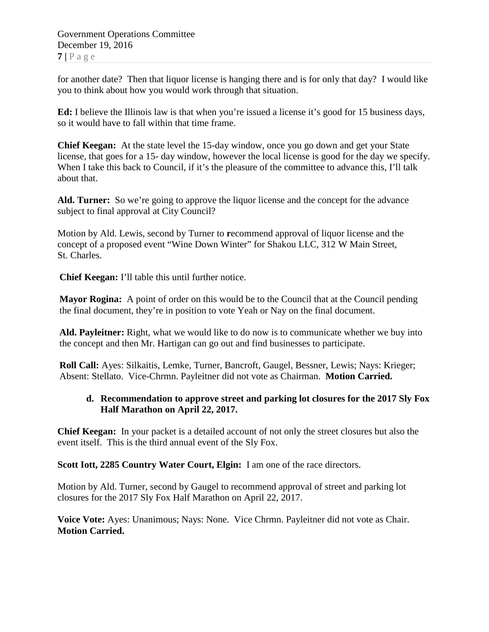for another date? Then that liquor license is hanging there and is for only that day? I would like you to think about how you would work through that situation.

**Ed:** I believe the Illinois law is that when you're issued a license it's good for 15 business days, so it would have to fall within that time frame.

**Chief Keegan:** At the state level the 15-day window, once you go down and get your State license, that goes for a 15- day window, however the local license is good for the day we specify. When I take this back to Council, if it's the pleasure of the committee to advance this, I'll talk about that.

**Ald. Turner:** So we're going to approve the liquor license and the concept for the advance subject to final approval at City Council?

Motion by Ald. Lewis, second by Turner to **r**ecommend approval of liquor license and the concept of a proposed event "Wine Down Winter" for Shakou LLC, 312 W Main Street, St. Charles.

**Chief Keegan:** I'll table this until further notice.

**Mayor Rogina:** A point of order on this would be to the Council that at the Council pending the final document, they're in position to vote Yeah or Nay on the final document.

**Ald. Payleitner:** Right, what we would like to do now is to communicate whether we buy into the concept and then Mr. Hartigan can go out and find businesses to participate.

**Roll Call:** Ayes: Silkaitis, Lemke, Turner, Bancroft, Gaugel, Bessner, Lewis; Nays: Krieger; Absent: Stellato. Vice-Chrmn. Payleitner did not vote as Chairman. **Motion Carried.**

# **d. Recommendation to approve street and parking lot closures for the 2017 Sly Fox Half Marathon on April 22, 2017.**

**Chief Keegan:** In your packet is a detailed account of not only the street closures but also the event itself. This is the third annual event of the Sly Fox.

**Scott Iott, 2285 Country Water Court, Elgin:** I am one of the race directors.

Motion by Ald. Turner, second by Gaugel to recommend approval of street and parking lot closures for the 2017 Sly Fox Half Marathon on April 22, 2017.

**Voice Vote:** Ayes: Unanimous; Nays: None. Vice Chrmn. Payleitner did not vote as Chair. **Motion Carried.**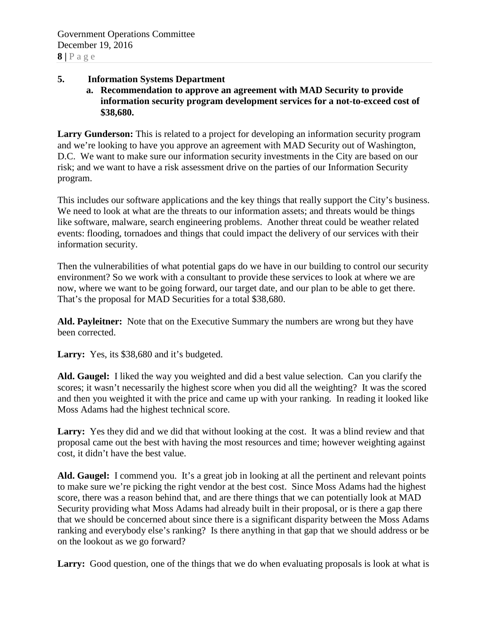### **5. Information Systems Department**

**a. Recommendation to approve an agreement with MAD Security to provide information security program development services for a not-to-exceed cost of \$38,680.**

**Larry Gunderson:** This is related to a project for developing an information security program and we're looking to have you approve an agreement with MAD Security out of Washington, D.C. We want to make sure our information security investments in the City are based on our risk; and we want to have a risk assessment drive on the parties of our Information Security program.

This includes our software applications and the key things that really support the City's business. We need to look at what are the threats to our information assets; and threats would be things like software, malware, search engineering problems. Another threat could be weather related events: flooding, tornadoes and things that could impact the delivery of our services with their information security.

Then the vulnerabilities of what potential gaps do we have in our building to control our security environment? So we work with a consultant to provide these services to look at where we are now, where we want to be going forward, our target date, and our plan to be able to get there. That's the proposal for MAD Securities for a total \$38,680.

**Ald. Payleitner:** Note that on the Executive Summary the numbers are wrong but they have been corrected.

Larry: Yes, its \$38,680 and it's budgeted.

**Ald. Gaugel:** I liked the way you weighted and did a best value selection. Can you clarify the scores; it wasn't necessarily the highest score when you did all the weighting? It was the scored and then you weighted it with the price and came up with your ranking. In reading it looked like Moss Adams had the highest technical score.

**Larry:** Yes they did and we did that without looking at the cost. It was a blind review and that proposal came out the best with having the most resources and time; however weighting against cost, it didn't have the best value.

**Ald. Gaugel:** I commend you. It's a great job in looking at all the pertinent and relevant points to make sure we're picking the right vendor at the best cost. Since Moss Adams had the highest score, there was a reason behind that, and are there things that we can potentially look at MAD Security providing what Moss Adams had already built in their proposal, or is there a gap there that we should be concerned about since there is a significant disparity between the Moss Adams ranking and everybody else's ranking? Is there anything in that gap that we should address or be on the lookout as we go forward?

Larry: Good question, one of the things that we do when evaluating proposals is look at what is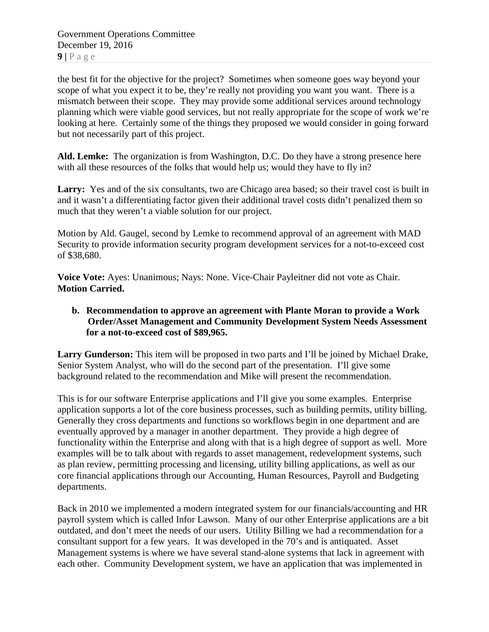the best fit for the objective for the project? Sometimes when someone goes way beyond your scope of what you expect it to be, they're really not providing you want you want. There is a mismatch between their scope. They may provide some additional services around technology planning which were viable good services, but not really appropriate for the scope of work we're looking at here. Certainly some of the things they proposed we would consider in going forward but not necessarily part of this project.

**Ald. Lemke:** The organization is from Washington, D.C. Do they have a strong presence here with all these resources of the folks that would help us; would they have to fly in?

Larry: Yes and of the six consultants, two are Chicago area based; so their travel cost is built in and it wasn't a differentiating factor given their additional travel costs didn't penalized them so much that they weren't a viable solution for our project.

Motion by Ald. Gaugel, second by Lemke to recommend approval of an agreement with MAD Security to provide information security program development services for a not-to-exceed cost of \$38,680.

**Voice Vote:** Ayes: Unanimous; Nays: None. Vice-Chair Payleitner did not vote as Chair. **Motion Carried.**

### **b. Recommendation to approve an agreement with Plante Moran to provide a Work Order/Asset Management and Community Development System Needs Assessment for a not-to-exceed cost of \$89,965.**

**Larry Gunderson:** This item will be proposed in two parts and I'll be joined by Michael Drake, Senior System Analyst, who will do the second part of the presentation. I'll give some background related to the recommendation and Mike will present the recommendation.

This is for our software Enterprise applications and I'll give you some examples. Enterprise application supports a lot of the core business processes, such as building permits, utility billing. Generally they cross departments and functions so workflows begin in one department and are eventually approved by a manager in another department. They provide a high degree of functionality within the Enterprise and along with that is a high degree of support as well. More examples will be to talk about with regards to asset management, redevelopment systems, such as plan review, permitting processing and licensing, utility billing applications, as well as our core financial applications through our Accounting, Human Resources, Payroll and Budgeting departments.

Back in 2010 we implemented a modern integrated system for our financials/accounting and HR payroll system which is called Infor Lawson. Many of our other Enterprise applications are a bit outdated, and don't meet the needs of our users. Utility Billing we had a recommendation for a consultant support for a few years. It was developed in the 70's and is antiquated. Asset Management systems is where we have several stand-alone systems that lack in agreement with each other. Community Development system, we have an application that was implemented in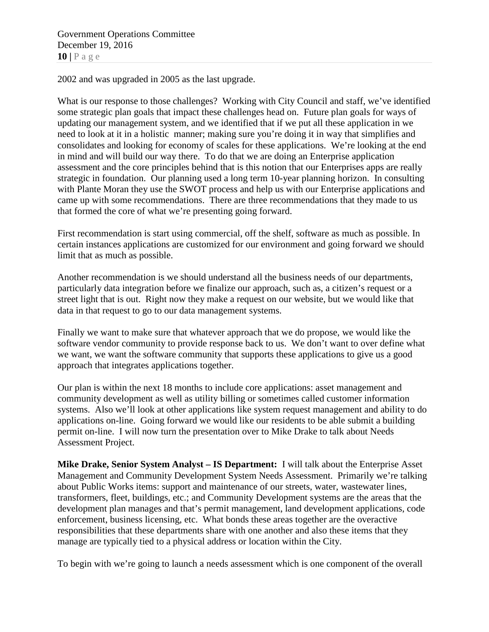Government Operations Committee December 19, 2016 **10 |** Page

2002 and was upgraded in 2005 as the last upgrade.

What is our response to those challenges? Working with City Council and staff, we've identified some strategic plan goals that impact these challenges head on. Future plan goals for ways of updating our management system, and we identified that if we put all these application in we need to look at it in a holistic manner; making sure you're doing it in way that simplifies and consolidates and looking for economy of scales for these applications. We're looking at the end in mind and will build our way there. To do that we are doing an Enterprise application assessment and the core principles behind that is this notion that our Enterprises apps are really strategic in foundation. Our planning used a long term 10-year planning horizon. In consulting with Plante Moran they use the SWOT process and help us with our Enterprise applications and came up with some recommendations. There are three recommendations that they made to us that formed the core of what we're presenting going forward.

First recommendation is start using commercial, off the shelf, software as much as possible. In certain instances applications are customized for our environment and going forward we should limit that as much as possible.

Another recommendation is we should understand all the business needs of our departments, particularly data integration before we finalize our approach, such as, a citizen's request or a street light that is out. Right now they make a request on our website, but we would like that data in that request to go to our data management systems.

Finally we want to make sure that whatever approach that we do propose, we would like the software vendor community to provide response back to us. We don't want to over define what we want, we want the software community that supports these applications to give us a good approach that integrates applications together.

Our plan is within the next 18 months to include core applications: asset management and community development as well as utility billing or sometimes called customer information systems. Also we'll look at other applications like system request management and ability to do applications on-line. Going forward we would like our residents to be able submit a building permit on-line. I will now turn the presentation over to Mike Drake to talk about Needs Assessment Project.

**Mike Drake, Senior System Analyst – IS Department:** I will talk about the Enterprise Asset Management and Community Development System Needs Assessment. Primarily we're talking about Public Works items: support and maintenance of our streets, water, wastewater lines, transformers, fleet, buildings, etc.; and Community Development systems are the areas that the development plan manages and that's permit management, land development applications, code enforcement, business licensing, etc. What bonds these areas together are the overactive responsibilities that these departments share with one another and also these items that they manage are typically tied to a physical address or location within the City.

To begin with we're going to launch a needs assessment which is one component of the overall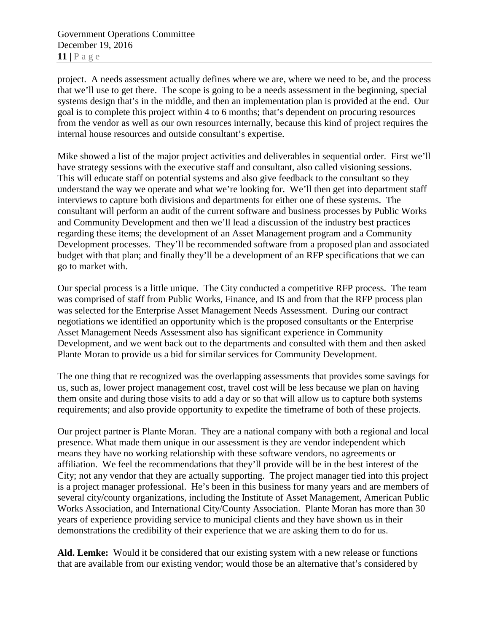Government Operations Committee December 19, 2016 **11 |** Page

project. A needs assessment actually defines where we are, where we need to be, and the process that we'll use to get there. The scope is going to be a needs assessment in the beginning, special systems design that's in the middle, and then an implementation plan is provided at the end. Our goal is to complete this project within 4 to 6 months; that's dependent on procuring resources from the vendor as well as our own resources internally, because this kind of project requires the internal house resources and outside consultant's expertise.

Mike showed a list of the major project activities and deliverables in sequential order. First we'll have strategy sessions with the executive staff and consultant, also called visioning sessions. This will educate staff on potential systems and also give feedback to the consultant so they understand the way we operate and what we're looking for. We'll then get into department staff interviews to capture both divisions and departments for either one of these systems. The consultant will perform an audit of the current software and business processes by Public Works and Community Development and then we'll lead a discussion of the industry best practices regarding these items; the development of an Asset Management program and a Community Development processes. They'll be recommended software from a proposed plan and associated budget with that plan; and finally they'll be a development of an RFP specifications that we can go to market with.

Our special process is a little unique. The City conducted a competitive RFP process. The team was comprised of staff from Public Works, Finance, and IS and from that the RFP process plan was selected for the Enterprise Asset Management Needs Assessment. During our contract negotiations we identified an opportunity which is the proposed consultants or the Enterprise Asset Management Needs Assessment also has significant experience in Community Development, and we went back out to the departments and consulted with them and then asked Plante Moran to provide us a bid for similar services for Community Development.

The one thing that re recognized was the overlapping assessments that provides some savings for us, such as, lower project management cost, travel cost will be less because we plan on having them onsite and during those visits to add a day or so that will allow us to capture both systems requirements; and also provide opportunity to expedite the timeframe of both of these projects.

Our project partner is Plante Moran. They are a national company with both a regional and local presence. What made them unique in our assessment is they are vendor independent which means they have no working relationship with these software vendors, no agreements or affiliation. We feel the recommendations that they'll provide will be in the best interest of the City; not any vendor that they are actually supporting. The project manager tied into this project is a project manager professional. He's been in this business for many years and are members of several city/county organizations, including the Institute of Asset Management, American Public Works Association, and International City/County Association. Plante Moran has more than 30 years of experience providing service to municipal clients and they have shown us in their demonstrations the credibility of their experience that we are asking them to do for us.

**Ald. Lemke:** Would it be considered that our existing system with a new release or functions that are available from our existing vendor; would those be an alternative that's considered by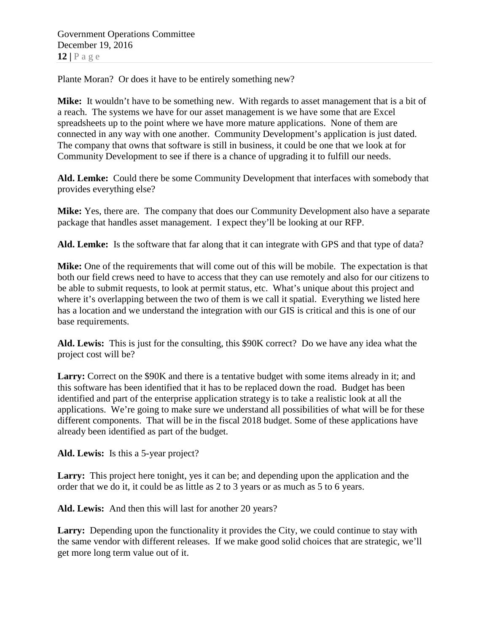Plante Moran? Or does it have to be entirely something new?

**Mike:** It wouldn't have to be something new. With regards to asset management that is a bit of a reach. The systems we have for our asset management is we have some that are Excel spreadsheets up to the point where we have more mature applications. None of them are connected in any way with one another. Community Development's application is just dated. The company that owns that software is still in business, it could be one that we look at for Community Development to see if there is a chance of upgrading it to fulfill our needs.

**Ald. Lemke:** Could there be some Community Development that interfaces with somebody that provides everything else?

**Mike:** Yes, there are. The company that does our Community Development also have a separate package that handles asset management. I expect they'll be looking at our RFP.

**Ald. Lemke:** Is the software that far along that it can integrate with GPS and that type of data?

**Mike:** One of the requirements that will come out of this will be mobile. The expectation is that both our field crews need to have to access that they can use remotely and also for our citizens to be able to submit requests, to look at permit status, etc. What's unique about this project and where it's overlapping between the two of them is we call it spatial. Everything we listed here has a location and we understand the integration with our GIS is critical and this is one of our base requirements.

**Ald. Lewis:** This is just for the consulting, this \$90K correct? Do we have any idea what the project cost will be?

**Larry:** Correct on the \$90K and there is a tentative budget with some items already in it; and this software has been identified that it has to be replaced down the road. Budget has been identified and part of the enterprise application strategy is to take a realistic look at all the applications. We're going to make sure we understand all possibilities of what will be for these different components. That will be in the fiscal 2018 budget. Some of these applications have already been identified as part of the budget.

**Ald. Lewis:** Is this a 5-year project?

Larry: This project here tonight, yes it can be; and depending upon the application and the order that we do it, it could be as little as 2 to 3 years or as much as 5 to 6 years.

Ald. Lewis: And then this will last for another 20 years?

**Larry:** Depending upon the functionality it provides the City, we could continue to stay with the same vendor with different releases. If we make good solid choices that are strategic, we'll get more long term value out of it.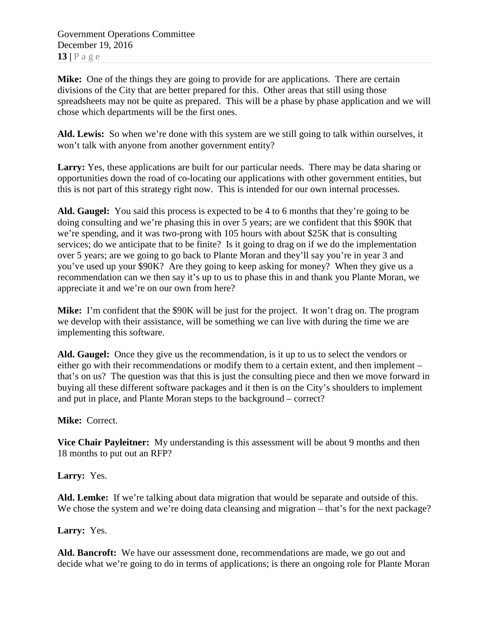Government Operations Committee December 19, 2016 **13 |** Page

**Mike:** One of the things they are going to provide for are applications. There are certain divisions of the City that are better prepared for this. Other areas that still using those spreadsheets may not be quite as prepared. This will be a phase by phase application and we will chose which departments will be the first ones.

**Ald. Lewis:** So when we're done with this system are we still going to talk within ourselves, it won't talk with anyone from another government entity?

**Larry:** Yes, these applications are built for our particular needs. There may be data sharing or opportunities down the road of co-locating our applications with other government entities, but this is not part of this strategy right now. This is intended for our own internal processes.

**Ald. Gaugel:** You said this process is expected to be 4 to 6 months that they're going to be doing consulting and we're phasing this in over 5 years; are we confident that this \$90K that we're spending, and it was two-prong with 105 hours with about \$25K that is consulting services; do we anticipate that to be finite? Is it going to drag on if we do the implementation over 5 years; are we going to go back to Plante Moran and they'll say you're in year 3 and you've used up your \$90K? Are they going to keep asking for money? When they give us a recommendation can we then say it's up to us to phase this in and thank you Plante Moran, we appreciate it and we're on our own from here?

**Mike:** I'm confident that the \$90K will be just for the project. It won't drag on. The program we develop with their assistance, will be something we can live with during the time we are implementing this software.

**Ald. Gaugel:** Once they give us the recommendation, is it up to us to select the vendors or either go with their recommendations or modify them to a certain extent, and then implement – that's on us? The question was that this is just the consulting piece and then we move forward in buying all these different software packages and it then is on the City's shoulders to implement and put in place, and Plante Moran steps to the background – correct?

### **Mike:** Correct.

**Vice Chair Payleitner:** My understanding is this assessment will be about 9 months and then 18 months to put out an RFP?

**Larry:** Yes.

**Ald. Lemke:** If we're talking about data migration that would be separate and outside of this. We chose the system and we're doing data cleansing and migration – that's for the next package?

**Larry:** Yes.

**Ald. Bancroft:** We have our assessment done, recommendations are made, we go out and decide what we're going to do in terms of applications; is there an ongoing role for Plante Moran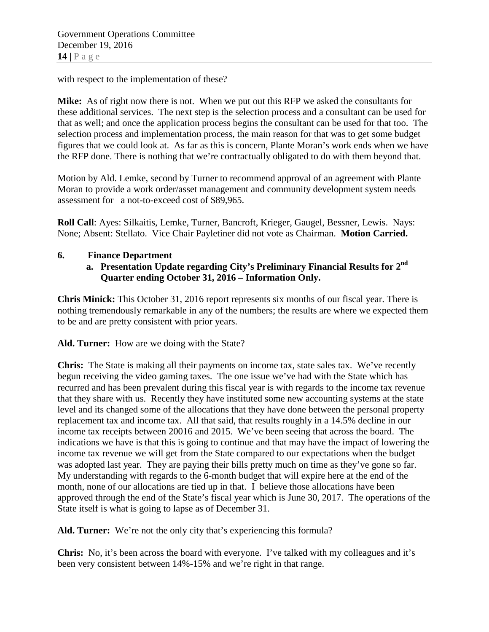with respect to the implementation of these?

**Mike:** As of right now there is not. When we put out this RFP we asked the consultants for these additional services. The next step is the selection process and a consultant can be used for that as well; and once the application process begins the consultant can be used for that too. The selection process and implementation process, the main reason for that was to get some budget figures that we could look at. As far as this is concern, Plante Moran's work ends when we have the RFP done. There is nothing that we're contractually obligated to do with them beyond that.

Motion by Ald. Lemke, second by Turner to recommend approval of an agreement with Plante Moran to provide a work order/asset management and community development system needs assessment for a not-to-exceed cost of \$89,965.

**Roll Call**: Ayes: Silkaitis, Lemke, Turner, Bancroft, Krieger, Gaugel, Bessner, Lewis. Nays: None; Absent: Stellato. Vice Chair Payletiner did not vote as Chairman. **Motion Carried.**

### **6. Finance Department**

**a. Presentation Update regarding City's Preliminary Financial Results for 2nd Quarter ending October 31, 2016 – Information Only.**

**Chris Minick:** This October 31, 2016 report represents six months of our fiscal year. There is nothing tremendously remarkable in any of the numbers; the results are where we expected them to be and are pretty consistent with prior years.

**Ald. Turner:** How are we doing with the State?

**Chris:** The State is making all their payments on income tax, state sales tax. We've recently begun receiving the video gaming taxes. The one issue we've had with the State which has recurred and has been prevalent during this fiscal year is with regards to the income tax revenue that they share with us. Recently they have instituted some new accounting systems at the state level and its changed some of the allocations that they have done between the personal property replacement tax and income tax. All that said, that results roughly in a 14.5% decline in our income tax receipts between 20016 and 2015. We've been seeing that across the board. The indications we have is that this is going to continue and that may have the impact of lowering the income tax revenue we will get from the State compared to our expectations when the budget was adopted last year. They are paying their bills pretty much on time as they've gone so far. My understanding with regards to the 6-month budget that will expire here at the end of the month, none of our allocations are tied up in that. I believe those allocations have been approved through the end of the State's fiscal year which is June 30, 2017. The operations of the State itself is what is going to lapse as of December 31.

**Ald. Turner:** We're not the only city that's experiencing this formula?

**Chris:** No, it's been across the board with everyone. I've talked with my colleagues and it's been very consistent between 14%-15% and we're right in that range.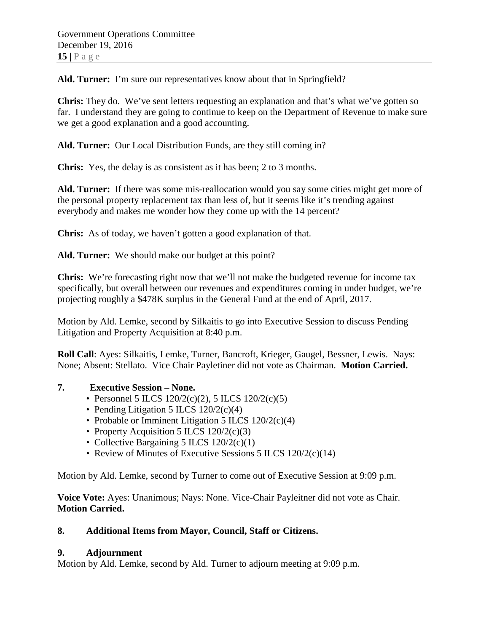Ald. Turner: I'm sure our representatives know about that in Springfield?

**Chris:** They do. We've sent letters requesting an explanation and that's what we've gotten so far. I understand they are going to continue to keep on the Department of Revenue to make sure we get a good explanation and a good accounting.

**Ald. Turner:** Our Local Distribution Funds, are they still coming in?

**Chris:** Yes, the delay is as consistent as it has been; 2 to 3 months.

**Ald. Turner:** If there was some mis-reallocation would you say some cities might get more of the personal property replacement tax than less of, but it seems like it's trending against everybody and makes me wonder how they come up with the 14 percent?

**Chris:** As of today, we haven't gotten a good explanation of that.

**Ald. Turner:** We should make our budget at this point?

**Chris:** We're forecasting right now that we'll not make the budgeted revenue for income tax specifically, but overall between our revenues and expenditures coming in under budget, we're projecting roughly a \$478K surplus in the General Fund at the end of April, 2017.

Motion by Ald. Lemke, second by Silkaitis to go into Executive Session to discuss Pending Litigation and Property Acquisition at 8:40 p.m.

**Roll Call**: Ayes: Silkaitis, Lemke, Turner, Bancroft, Krieger, Gaugel, Bessner, Lewis. Nays: None; Absent: Stellato. Vice Chair Payletiner did not vote as Chairman. **Motion Carried.**

### **7. Executive Session – None.**

- Personnel 5 ILCS  $120/2(c)(2)$ , 5 ILCS  $120/2(c)(5)$
- Pending Litigation 5 ILCS 120/2(c)(4)
- Probable or Imminent Litigation 5 ILCS 120/2(c)(4)
- Property Acquisition 5 ILCS  $120/2(c)(3)$
- Collective Bargaining 5 ILCS 120/2(c)(1)
- Review of Minutes of Executive Sessions 5 ILCS 120/2(c)(14)

Motion by Ald. Lemke, second by Turner to come out of Executive Session at 9:09 p.m.

**Voice Vote:** Ayes: Unanimous; Nays: None. Vice-Chair Payleitner did not vote as Chair. **Motion Carried.**

# **8. Additional Items from Mayor, Council, Staff or Citizens.**

### **9. Adjournment**

Motion by Ald. Lemke, second by Ald. Turner to adjourn meeting at 9:09 p.m.